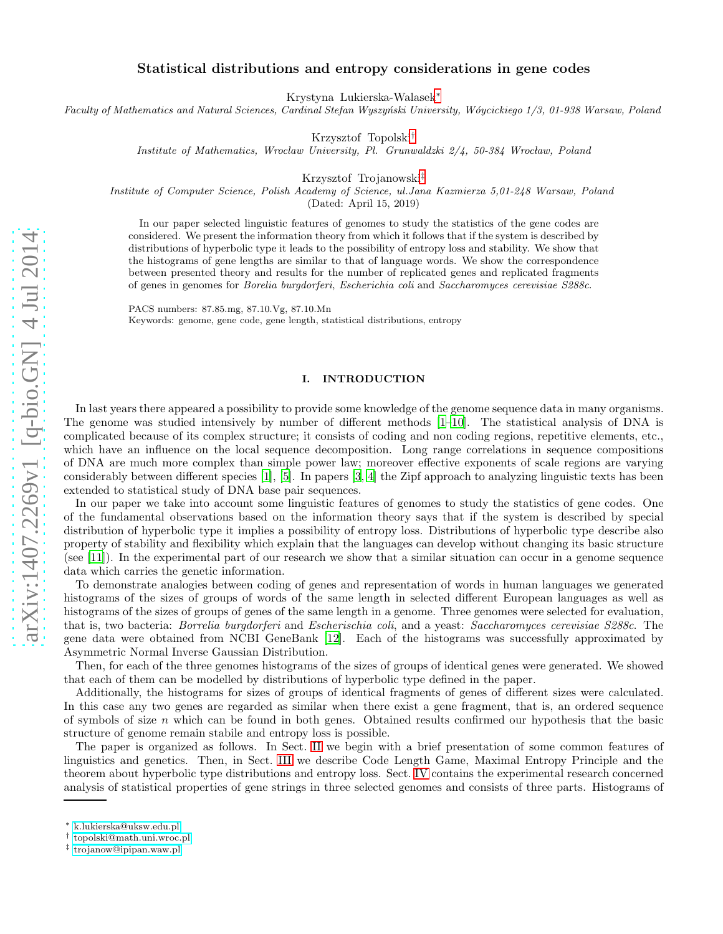# Statistical distributions and entropy considerations in gene codes

Krystyna Lukierska-Walasek[∗](#page-0-0)

Faculty of Mathematics and Natural Sciences, Cardinal Stefan Wyszyński University, Wóycickiego 1/3, 01-938 Warsaw, Poland

Krzysztof Topolski[†](#page-0-1)

Institute of Mathematics, Wroclaw University, Pl. Grunwaldzki  $2/4$ , 50-384 Wrocław, Poland

Krzysztof Trojanowski[‡](#page-0-2)

Institute of Computer Science, Polish Academy of Science, ul.Jana Kazmierza 5,01-248 Warsaw, Poland

(Dated: April 15, 2019)

In our paper selected linguistic features of genomes to study the statistics of the gene codes are considered. We present the information theory from which it follows that if the system is described by distributions of hyperbolic type it leads to the possibility of entropy loss and stability. We show that the histograms of gene lengths are similar to that of language words. We show the correspondence between presented theory and results for the number of replicated genes and replicated fragments of genes in genomes for Borelia burgdorferi, Escherichia coli and Saccharomyces cerevisiae S288c.

PACS numbers: 87.85.mg, 87.10.Vg, 87.10.Mn Keywords: genome, gene code, gene length, statistical distributions, entropy

### I. INTRODUCTION

In last years there appeared a possibility to provide some knowledge of the genome sequence data in many organisms. The genome was studied intensively by number of different methods [\[1](#page-9-0)[–10\]](#page-9-1). The statistical analysis of DNA is complicated because of its complex structure; it consists of coding and non coding regions, repetitive elements, etc., which have an influence on the local sequence decomposition. Long range correlations in sequence compositions of DNA are much more complex than simple power law; moreover effective exponents of scale regions are varying considerably between different species [\[1](#page-9-0)], [\[5\]](#page-9-2). In papers [\[3,](#page-9-3) [4\]](#page-9-4) the Zipf approach to analyzing linguistic texts has been extended to statistical study of DNA base pair sequences.

In our paper we take into account some linguistic features of genomes to study the statistics of gene codes. One of the fundamental observations based on the information theory says that if the system is described by special distribution of hyperbolic type it implies a possibility of entropy loss. Distributions of hyperbolic type describe also property of stability and flexibility which explain that the languages can develop without changing its basic structure (see [\[11\]](#page-9-5)). In the experimental part of our research we show that a similar situation can occur in a genome sequence data which carries the genetic information.

To demonstrate analogies between coding of genes and representation of words in human languages we generated histograms of the sizes of groups of words of the same length in selected different European languages as well as histograms of the sizes of groups of genes of the same length in a genome. Three genomes were selected for evaluation, that is, two bacteria: Borrelia burgdorferi and Escherischia coli, and a yeast: Saccharomyces cerevisiae S288c. The gene data were obtained from NCBI GeneBank [\[12](#page-9-6)]. Each of the histograms was successfully approximated by Asymmetric Normal Inverse Gaussian Distribution.

Then, for each of the three genomes histograms of the sizes of groups of identical genes were generated. We showed that each of them can be modelled by distributions of hyperbolic type defined in the paper.

Additionally, the histograms for sizes of groups of identical fragments of genes of different sizes were calculated. In this case any two genes are regarded as similar when there exist a gene fragment, that is, an ordered sequence of symbols of size  $n$  which can be found in both genes. Obtained results confirmed our hypothesis that the basic structure of genome remain stabile and entropy loss is possible.

The paper is organized as follows. In Sect. [II](#page-1-0) we begin with a brief presentation of some common features of linguistics and genetics. Then, in Sect. [III](#page-1-1) we describe Code Length Game, Maximal Entropy Principle and the theorem about hyperbolic type distributions and entropy loss. Sect. [IV](#page-3-0) contains the experimental research concerned analysis of statistical properties of gene strings in three selected genomes and consists of three parts. Histograms of

<span id="page-0-0"></span><sup>∗</sup> [k.lukierska@uksw.edu.pl](mailto:k.lukierska@uksw.edu.pl)

<span id="page-0-1"></span><sup>†</sup> [topolski@math.uni.wroc.pl](mailto:topolski@math.uni.wroc.pl)

<span id="page-0-2"></span><sup>‡</sup> [trojanow@ipipan.waw.pl](mailto:trojanow@ipipan.waw.pl)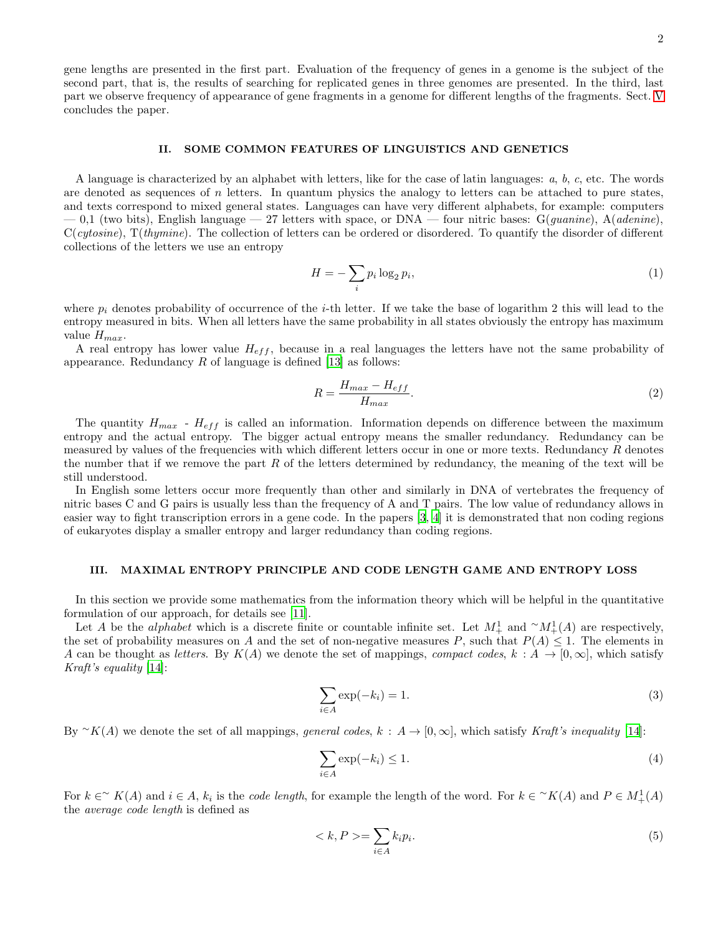gene lengths are presented in the first part. Evaluation of the frequency of genes in a genome is the subject of the second part, that is, the results of searching for replicated genes in three genomes are presented. In the third, last part we observe frequency of appearance of gene fragments in a genome for different lengths of the fragments. Sect. [V](#page-9-7) concludes the paper.

### <span id="page-1-0"></span>II. SOME COMMON FEATURES OF LINGUISTICS AND GENETICS

A language is characterized by an alphabet with letters, like for the case of latin languages: a, b, c, etc. The words are denoted as sequences of  $n$  letters. In quantum physics the analogy to letters can be attached to pure states, and texts correspond to mixed general states. Languages can have very different alphabets, for example: computers  $-0.1$  (two bits), English language  $-27$  letters with space, or DNA — four nitric bases:  $G(quantine)$ ,  $A(adenine)$  $C(cytosine)$ ,  $T(thymine)$ . The collection of letters can be ordered or disordered. To quantify the disorder of different collections of the letters we use an entropy

$$
H = -\sum_{i} p_i \log_2 p_i,\tag{1}
$$

where  $p_i$  denotes probability of occurrence of the *i*-th letter. If we take the base of logarithm 2 this will lead to the entropy measured in bits. When all letters have the same probability in all states obviously the entropy has maximum value  $H_{max}$ .

A real entropy has lower value  $H_{eff}$ , because in a real languages the letters have not the same probability of appearance. Redundancy  $R$  of language is defined [\[13\]](#page-9-8) as follows:

$$
R = \frac{H_{max} - H_{eff}}{H_{max}}.\tag{2}
$$

The quantity  $H_{max}$  -  $H_{eff}$  is called an information. Information depends on difference between the maximum entropy and the actual entropy. The bigger actual entropy means the smaller redundancy. Redundancy can be measured by values of the frequencies with which different letters occur in one or more texts. Redundancy R denotes the number that if we remove the part R of the letters determined by redundancy, the meaning of the text will be still understood.

In English some letters occur more frequently than other and similarly in DNA of vertebrates the frequency of nitric bases C and G pairs is usually less than the frequency of A and T pairs. The low value of redundancy allows in easier way to fight transcription errors in a gene code. In the papers [\[3,](#page-9-3) [4\]](#page-9-4) it is demonstrated that non coding regions of eukaryotes display a smaller entropy and larger redundancy than coding regions.

# <span id="page-1-1"></span>III. MAXIMAL ENTROPY PRINCIPLE AND CODE LENGTH GAME AND ENTROPY LOSS

In this section we provide some mathematics from the information theory which will be helpful in the quantitative formulation of our approach, for details see [\[11](#page-9-5)].

Let A be the *alphabet* which is a discrete finite or countable infinite set. Let  $M_+^1$  and  $\sim M_+^1(A)$  are respectively, the set of probability measures on A and the set of non-negative measures P, such that  $P(A) \leq 1$ . The elements in A can be thought as letters. By  $K(A)$  we denote the set of mappings, compact codes,  $k : A \to [0, \infty]$ , which satisfy Kraft's equality [\[14\]](#page-9-9):

$$
\sum_{i \in A} \exp(-k_i) = 1. \tag{3}
$$

By  $\sim K(A)$  we denote the set of all mappings, general codes,  $k : A \to [0, \infty]$ , which satisfy Kraft's inequality [\[14\]](#page-9-9):

$$
\sum_{i \in A} \exp(-k_i) \le 1. \tag{4}
$$

For  $k \in \gamma$   $K(A)$  and  $i \in A$ ,  $k_i$  is the *code length*, for example the length of the word. For  $k \in \gamma K(A)$  and  $P \in M^1_+(A)$ the average code length is defined as

$$
\langle k, P \rangle = \sum_{i \in A} k_i p_i. \tag{5}
$$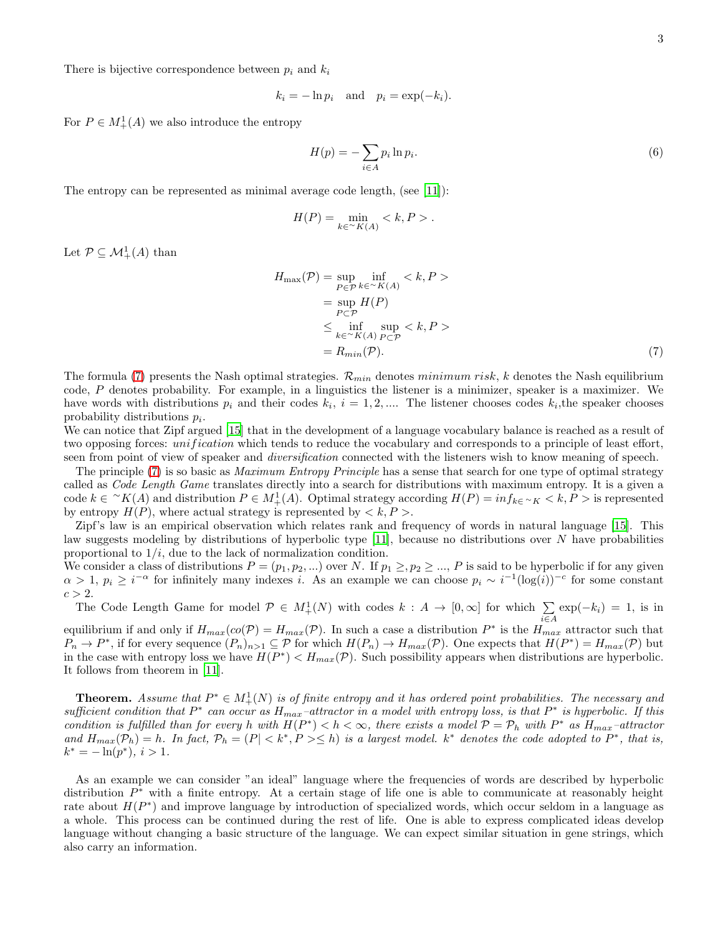There is bijective correspondence between  $p_i$  and  $k_i$ 

$$
k_i = -\ln p_i \quad \text{and} \quad p_i = \exp(-k_i).
$$

For  $P \in M^1_+(A)$  we also introduce the entropy

$$
H(p) = -\sum_{i \in A} p_i \ln p_i.
$$
\n<sup>(6)</sup>

The entropy can be represented as minimal average code length, (see [\[11](#page-9-5)]):

$$
H(P) = \min_{k \in {}^\sim K(A)} .
$$

Let  $\mathcal{P} \subseteq \mathcal{M}^1_+(A)$  than

It follows from theorem in [\[11](#page-9-5)].

<span id="page-2-0"></span>
$$
H_{\max}(\mathcal{P}) = \sup_{P \in \mathcal{P}} \inf_{k \in \mathcal{K}(A)} \langle k, P \rangle
$$
  
= 
$$
\sup_{P \in \mathcal{P}} H(P)
$$
  

$$
\leq \inf_{k \in \mathcal{K}(A)} \sup_{P \in \mathcal{P}} \langle k, P \rangle
$$
  
= 
$$
R_{min}(\mathcal{P}).
$$
 (7)

The formula [\(7\)](#page-2-0) presents the Nash optimal strategies.  $\mathcal{R}_{min}$  denotes minimum risk, k denotes the Nash equilibrium code, P denotes probability. For example, in a linguistics the listener is a minimizer, speaker is a maximizer. We have words with distributions  $p_i$  and their codes  $k_i$ ,  $i = 1, 2, ...$  The listener chooses codes  $k_i$ , the speaker chooses probability distributions  $p_i$ .

We can notice that Zipf argued [\[15\]](#page-9-10) that in the development of a language vocabulary balance is reached as a result of two opposing forces: *unification* which tends to reduce the vocabulary and corresponds to a principle of least effort, seen from point of view of speaker and diversification connected with the listeners wish to know meaning of speech.

The principle [\(7\)](#page-2-0) is so basic as *Maximum Entropy Principle* has a sense that search for one type of optimal strategy called as Code Length Game translates directly into a search for distributions with maximum entropy. It is a given a code  $k \in {}^{\sim}K(A)$  and distribution  $P \in M^1_+(A)$ . Optimal strategy according  $H(P) = inf_{k \in {}^{\sim}K} < k, P >$  is represented by entropy  $H(P)$ , where actual strategy is represented by  $\langle k, P \rangle$ .

Zipf's law is an empirical observation which relates rank and frequency of words in natural language [\[15\]](#page-9-10). This law suggests modeling by distributions of hyperbolic type  $[11]$ , because no distributions over N have probabilities proportional to  $1/i$ , due to the lack of normalization condition.

We consider a class of distributions  $P = (p_1, p_2, ...)$  over N. If  $p_1 \geq p_2 \geq ...$ , P is said to be hyperbolic if for any given  $\alpha > 1, p_i \geq i^{-\alpha}$  for infinitely many indexes i. As an example we can choose  $p_i \sim i^{-1}(\log(i))^{-c}$  for some constant  $c > 2$ .

The Code Length Game for model  $\mathcal{P} \in M^1_+(N)$  with codes  $k : A \to [0, \infty]$  for which  $\sum_{i \in A} \exp(-k_i) = 1$ , is in equilibrium if and only if  $H_{max}(co(\mathcal{P}) = H_{max}(\mathcal{P})$ . In such a case a distribution  $P^*$  is the  $H_{max}$  attractor such that  $P_n \to P^*$ , if for every sequence  $(P_n)_{n>1} \subseteq \mathcal{P}$  for which  $H(P_n) \to H_{max}(\mathcal{P})$ . One expects that  $H(P^*) = H_{max}(\mathcal{P})$  but in the case with entropy loss we have  $H(P^*) < H_{max}(P)$ . Such possibility appears when distributions are hyperbolic.

**Theorem.** Assume that  $P^* \in M^1_+(N)$  is of finite entropy and it has ordered point probabilities. The necessary and sufficient condition that  $P^*$  can occur as  $H_{max}$ -attractor in a model with entropy loss, is that  $P^*$  is hyperbolic. If this condition is fulfilled than for every h with  $H(P^*) < h < \infty$ , there exists a model  $P = P_h$  with  $P^*$  as  $H_{max}$ -attractor and  $H_{max}(\mathcal{P}_h) = h$ . In fact,  $\mathcal{P}_h = (P| < k^*, P \geq h)$  is a largest model.  $k^*$  denotes the code adopted to  $P^*$ , that is,  $k^* = -\ln(p^*), i > 1.$ 

As an example we can consider "an ideal" language where the frequencies of words are described by hyperbolic distribution  $P^*$  with a finite entropy. At a certain stage of life one is able to communicate at reasonably height rate about  $H(P^*)$  and improve language by introduction of specialized words, which occur seldom in a language as a whole. This process can be continued during the rest of life. One is able to express complicated ideas develop language without changing a basic structure of the language. We can expect similar situation in gene strings, which also carry an information.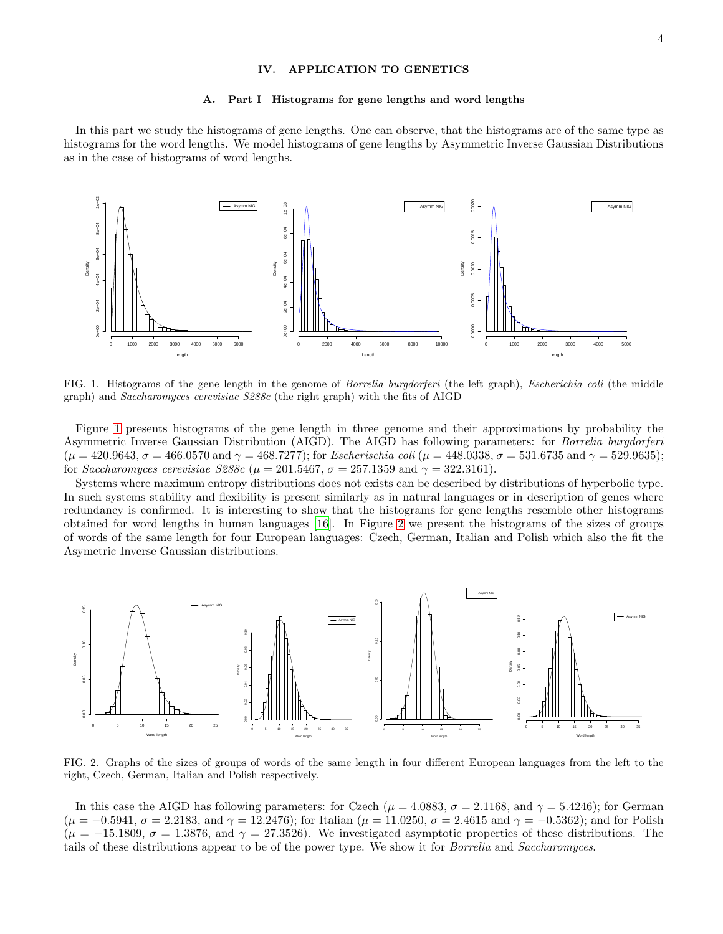# <span id="page-3-0"></span>IV. APPLICATION TO GENETICS

#### A. Part I– Histograms for gene lengths and word lengths

In this part we study the histograms of gene lengths. One can observe, that the histograms are of the same type as histograms for the word lengths. We model histograms of gene lengths by Asymmetric Inverse Gaussian Distributions as in the case of histograms of word lengths.



<span id="page-3-1"></span>FIG. 1. Histograms of the gene length in the genome of Borrelia burgdorferi (the left graph), Escherichia coli (the middle graph) and Saccharomyces cerevisiae S288c (the right graph) with the fits of AIGD

Figure [1](#page-3-1) presents histograms of the gene length in three genome and their approximations by probability the Asymmetric Inverse Gaussian Distribution (AIGD). The AIGD has following parameters: for Borrelia burgdorferi  $(\mu = 420.9643, \sigma = 466.0570 \text{ and } \gamma = 468.7277)$ ; for *Escherischia coli*  $(\mu = 448.0338, \sigma = 531.6735 \text{ and } \gamma = 529.9635)$ ; for *Saccharomyces cerevisiae S288c* ( $\mu = 201.5467$ ,  $\sigma = 257.1359$  and  $\gamma = 322.3161$ ).

Systems where maximum entropy distributions does not exists can be described by distributions of hyperbolic type. In such systems stability and flexibility is present similarly as in natural languages or in description of genes where redundancy is confirmed. It is interesting to show that the histograms for gene lengths resemble other histograms obtained for word lengths in human languages [\[16\]](#page-9-11). In Figure [2](#page-3-2) we present the histograms of the sizes of groups of words of the same length for four European languages: Czech, German, Italian and Polish which also the fit the Asymetric Inverse Gaussian distributions.



<span id="page-3-2"></span>FIG. 2. Graphs of the sizes of groups of words of the same length in four different European languages from the left to the right, Czech, German, Italian and Polish respectively.

In this case the AIGD has following parameters: for Czech ( $\mu = 4.0883$ ,  $\sigma = 2.1168$ , and  $\gamma = 5.4246$ ); for German  $(\mu = -0.5941, \sigma = 2.2183, \text{ and } \gamma = 12.2476)$ ; for Italian  $(\mu = 11.0250, \sigma = 2.4615, \text{ and } \gamma = -0.5362)$ ; and for Polish  $(\mu = -15.1809, \sigma = 1.3876, \text{ and } \gamma = 27.3526)$ . We investigated asymptotic properties of these distributions. The tails of these distributions appear to be of the power type. We show it for Borrelia and Saccharomyces.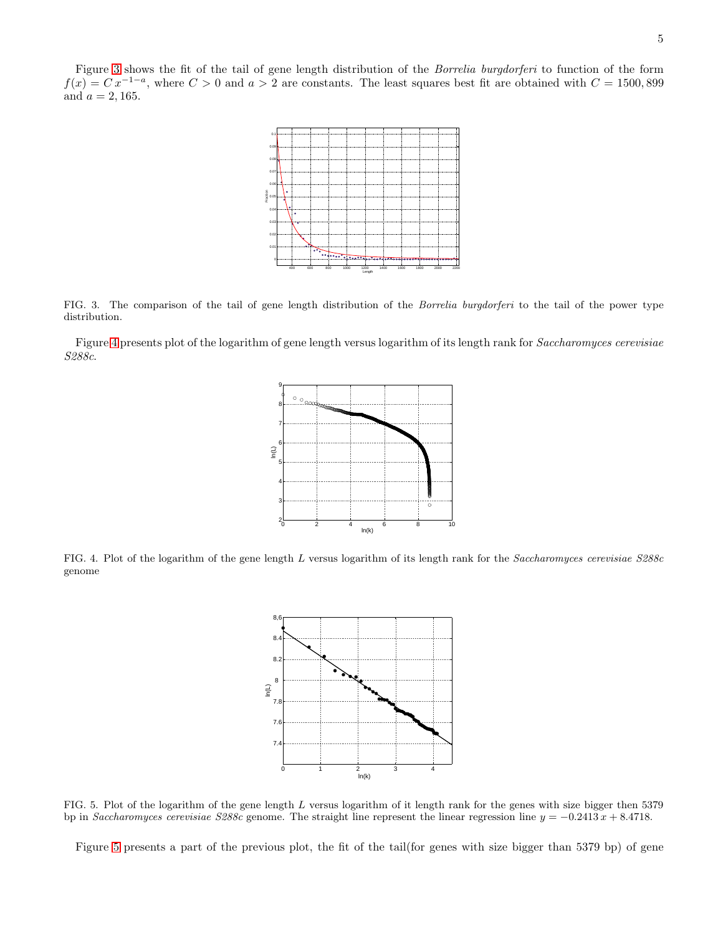Figure [3](#page-4-0) shows the fit of the tail of gene length distribution of the Borrelia burgdorferi to function of the form  $f(x) = C x^{-1-a}$ , where  $C > 0$  and  $a > 2$  are constants. The least squares best fit are obtained with  $C = 1500,899$ and  $a = 2, 165$ .



<span id="page-4-0"></span>FIG. 3. The comparison of the tail of gene length distribution of the Borrelia burgdorferi to the tail of the power type distribution.

Figure [4](#page-4-1) presents plot of the logarithm of gene length versus logarithm of its length rank for Saccharomyces cerevisiae S288c.



<span id="page-4-1"></span>FIG. 4. Plot of the logarithm of the gene length L versus logarithm of its length rank for the Saccharomyces cerevisiae S288c genome



<span id="page-4-2"></span>FIG. 5. Plot of the logarithm of the gene length L versus logarithm of it length rank for the genes with size bigger then 5379 bp in Saccharomyces cerevisiae S288c genome. The straight line represent the linear regression line  $y = -0.2413 x + 8.4718$ .

Figure [5](#page-4-2) presents a part of the previous plot, the fit of the tail(for genes with size bigger than 5379 bp) of gene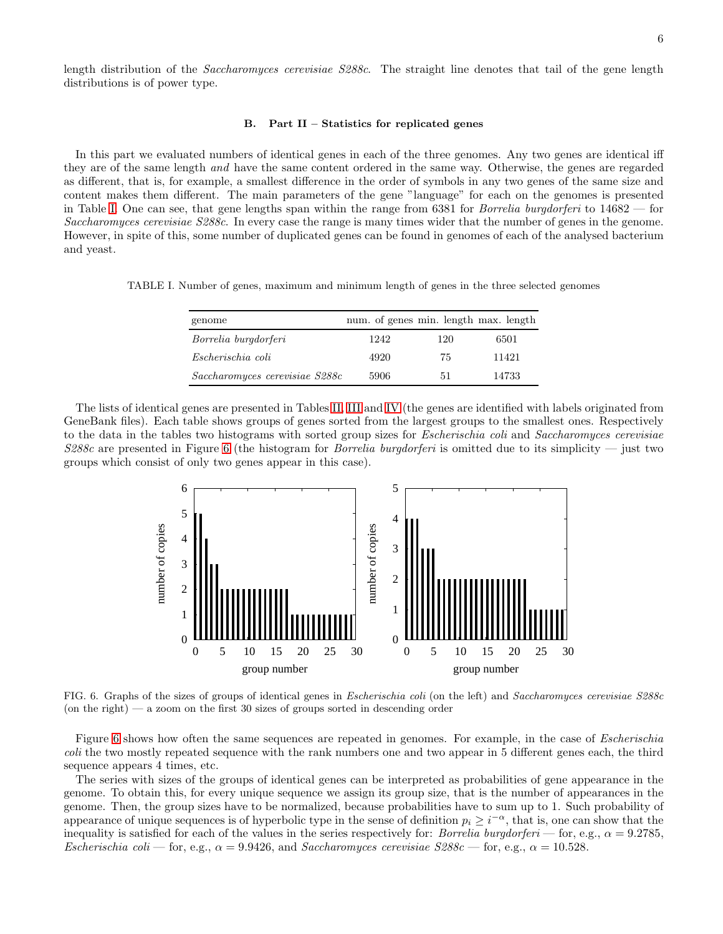length distribution of the Saccharomyces cerevisiae S288c. The straight line denotes that tail of the gene length distributions is of power type.

### B. Part II – Statistics for replicated genes

In this part we evaluated numbers of identical genes in each of the three genomes. Any two genes are identical iff they are of the same length and have the same content ordered in the same way. Otherwise, the genes are regarded as different, that is, for example, a smallest difference in the order of symbols in any two genes of the same size and content makes them different. The main parameters of the gene "language" for each on the genomes is presented in Table [I.](#page-5-0) One can see, that gene lengths span within the range from 6381 for Borrelia burgdorferi to 14682 — for Saccharomyces cerevisiae S288c. In every case the range is many times wider that the number of genes in the genome. However, in spite of this, some number of duplicated genes can be found in genomes of each of the analysed bacterium and yeast.

TABLE I. Number of genes, maximum and minimum length of genes in the three selected genomes

<span id="page-5-0"></span>

| genome                         | num. of genes min. length max. length |     |       |
|--------------------------------|---------------------------------------|-----|-------|
| Borrelia burgdorferi           | 1242                                  | 120 | 6501  |
| Escherischia coli              | 4920                                  | 75  | 11421 |
| Saccharomyces cerevisiae S288c | 5906                                  | 51  | 14733 |

The lists of identical genes are presented in Tables [II,](#page-6-0) [III](#page-6-1) and [IV](#page-7-0) (the genes are identified with labels originated from GeneBank files). Each table shows groups of genes sorted from the largest groups to the smallest ones. Respectively to the data in the tables two histograms with sorted group sizes for Escherischia coli and Saccharomyces cerevisiae  $S288c$  are presented in Figure [6](#page-5-1) (the histogram for *Borrelia burgdorferi* is omitted due to its simplicity — just two groups which consist of only two genes appear in this case).



<span id="page-5-1"></span>FIG. 6. Graphs of the sizes of groups of identical genes in Escherischia coli (on the left) and Saccharomyces cerevisiae S288c (on the right)  $-$  a zoom on the first 30 sizes of groups sorted in descending order

Figure [6](#page-5-1) shows how often the same sequences are repeated in genomes. For example, in the case of *Escherischia* coli the two mostly repeated sequence with the rank numbers one and two appear in 5 different genes each, the third sequence appears 4 times, etc.

The series with sizes of the groups of identical genes can be interpreted as probabilities of gene appearance in the genome. To obtain this, for every unique sequence we assign its group size, that is the number of appearances in the genome. Then, the group sizes have to be normalized, because probabilities have to sum up to 1. Such probability of appearance of unique sequences is of hyperbolic type in the sense of definition  $p_i \geq i^{-\alpha}$ , that is, one can show that the inequality is satisfied for each of the values in the series respectively for: Borrelia burgdorferi — for, e.g.,  $\alpha = 9.2785$ , Escherischia coli — for, e.g.,  $\alpha = 9.9426$ , and Saccharomyces cerevisiae  $S288c$  — for, e.g.,  $\alpha = 10.528$ .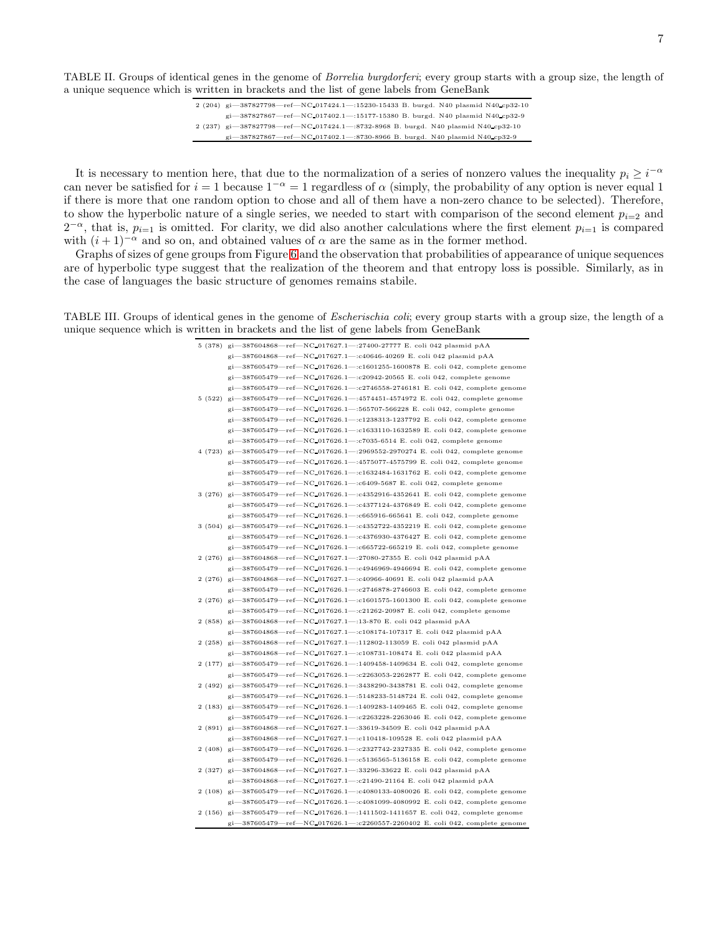<span id="page-6-0"></span>TABLE II. Groups of identical genes in the genome of Borrelia burgdorferi; every group starts with a group size, the length of a unique sequence which is written in brackets and the list of gene labels from GeneBank

| 2 (204) gi-387827798-ref-NC 017424.1-:15230-15433 B. burgd. N40 plasmid N40 cp32-10 |
|-------------------------------------------------------------------------------------|
| gi-387827867-ref-NC-017402.1-:15177-15380 B. burgd. N40 plasmid N40-cp32-9          |
| 2 (237) gi-387827798-ref-NC_017424.1-8732-8968 B. burgd. N40 plasmid N40-cp32-10    |
| gi-387827867-ref-NC-017402.1-8730-8966 B. burgd. N40 plasmid N40-cp32-9             |

It is necessary to mention here, that due to the normalization of a series of nonzero values the inequality  $p_i \geq i^{-\alpha}$ can never be satisfied for  $i = 1$  because  $1^{-\alpha} = 1$  regardless of  $\alpha$  (simply, the probability of any option is never equal 1 if there is more that one random option to chose and all of them have a non-zero chance to be selected). Therefore, to show the hyperbolic nature of a single series, we needed to start with comparison of the second element  $p_{i=2}$  and  $2^{-\alpha}$ , that is,  $p_{i=1}$  is omitted. For clarity, we did also another calculations where the first element  $p_{i=1}$  is compared with  $(i + 1)^{-\alpha}$  and so on, and obtained values of  $\alpha$  are the same as in the former method.

Graphs of sizes of gene groups from Figure [6](#page-5-1) and the observation that probabilities of appearance of unique sequences are of hyperbolic type suggest that the realization of the theorem and that entropy loss is possible. Similarly, as in the case of languages the basic structure of genomes remains stabile.

<span id="page-6-1"></span>TABLE III. Groups of identical genes in the genome of Escherischia coli; every group starts with a group size, the length of a unique sequence which is written in brackets and the list of gene labels from GeneBank

| 5 (378) gi-387604868-ref-NC-017627.1-:27400-27777 E. coli 042 plasmid pAA              |
|----------------------------------------------------------------------------------------|
| gi-387604868-ref-NC_017627.1-c40646-40269 E. coli 042 plasmid pAA                      |
| gi-387605479-ref-NC_017626.1-:c1601255-1600878 E. coli 042, complete genome            |
| gi-387605479-ref-NC-017626.1- $:$ c20942-20565 E. coli 042, complete genome            |
| gi-387605479-ref-NC-017626.1-:c2746558-2746181 E. coli 042, complete genome            |
| 5 (522) gi—387605479—ref—NC_017626.1—:4574451-4574972 E. coli 042, complete genome     |
| gi-387605479-ref-NC_017626.1-:565707-566228 E. coli 042, complete genome               |
| gi-387605479-ref-NC_017626.1-:c1238313-1237792 E. coli 042, complete genome            |
| gi-387605479-ref-NC_017626.1-:c1633110-1632589 E. coli 042, complete genome            |
| gi-387605479-ref-NC-017626.1-:c7035-6514 E. coli 042, complete genome                  |
| 4 (723) gi-387605479-ref-NC-017626.1-2969552-2970274 E. coli 042, complete genome      |
| gi-387605479-ref-NC-017626.1-:4575077-4575799 E. coli 042, complete genome             |
| gi-387605479-ref-NC_017626.1-:c1632484-1631762 E. coli 042, complete genome            |
| $\text{gi}$ -387605479 - ref - NC 017626.1 - : c6409-5687 E. coli 042, complete genome |
| 3 (276) gi-387605479-ref-NC_017626.1-:c4352916-4352641 E. coli 042, complete genome    |
|                                                                                        |
| gi-387605479-ref-NC_017626.1-:c4377124-4376849 E. coli 042, complete genome            |
| gi-387605479-ref-NC-017626.1-c665916-665641 E. coli 042, complete genome               |
| 3 (504) gi-387605479-ref-NC_017626.1-:c4352722-4352219 E. coli 042, complete genome    |
| gi-387605479-ref-NC-017626.1-c4376930-4376427 E. coli 042, complete genome             |
| gi-387605479-ref-NC_017626.1-c665722-665219 E. coli 042, complete genome               |
| 2 (276) gi-387604868-ref-NC_017627.1-:27080-27355 E. coli 042 plasmid pAA              |
| gi-387605479-ref-NC-017626.1-:c4946969-4946694 E. coli 042, complete genome            |
| 2 (276) gi-387604868-ref-NC_017627.1-:c40966-40691 E. coli 042 plasmid pAA             |
| gi-387605479-ref-NC_017626.1- $: c2746878-2746603$ E. coli 042, complete genome        |
| 2 (276) gi-387605479-ref-NC_017626.1-:c1601575-1601300 E. coli 042, complete genome    |
| $gi-387605479$ - ref $-NC_017626.1$ - :c21262-20987 E. coli 042, complete genome       |
| 2 (858) gi-387604868-ref-NC_017627.1-:13-870 E. coli 042 plasmid pAA                   |
| gi-387604868-ref-NC_017627.1-:c108174-107317 E. coli 042 plasmid pAA                   |
| 2 (258) gi-387604868-ref-NC_017627.1-:112802-113059 E. coli 042 plasmid pAA            |
| gi-387604868-ref-NC_017627.1-:c108731-108474 E. coli 042 plasmid pAA                   |
| 2 (177) gi—387605479—ref—NC_017626.1—:1409458-1409634 E. coli 042, complete genome     |
| gi-387605479-ref-NC-017626.1-:c2263053-2262877 E. coli 042, complete genome            |
| 2 (492) gi-387605479-ref-NC-017626.1-3438290-3438781 E. coli 042, complete genome      |
| gi-387605479-ref-NC-017626.1-:5148233-5148724 E. coli 042, complete genome             |
| 2 (183) gi-387605479-ref-NC-017626.1-:1409283-1409465 E. coli 042, complete genome     |
| gi-387605479-ref-NC-017626.1-c2263228-2263046 E. coli 042, complete genome             |
| 2 (891) gi-387604868-ref-NC-017627.1-33619-34509 E. coli 042 plasmid pAA               |
| gi-387604868-ref-NC_017627.1-:c110418-109528 E. coli 042 plasmid pAA                   |
| 2 (408) gi-387605479-ref-NC-017626.1-:c2327742-2327335 E. coli 042, complete genome    |
| gi-387605479-ref-NC-017626.1-:c5136565-5136158 E. coli 042, complete genome            |
| 2 (327) gi-387604868-ref-NC-017627.1-33296-33622 E. coli 042 plasmid pAA               |
| gi-387604868-ref-NC_017627.1-:c21490-21164 E. coli 042 plasmid pAA                     |
| 2 (108) gi-387605479-ref-NC-017626.1-:c4080133-4080026 E. coli 042, complete genome    |
| gi-387605479-ref-NC-017626.1-:c4081099-4080992 E. coli 042, complete genome            |
| 2 (156) gi-387605479-ref-NC-017626.1-:1411502-1411657 E. coli 042, complete genome     |
| gi-387605479-ref-NC-017626.1-:c2260557-2260402 E. coli 042, complete genome            |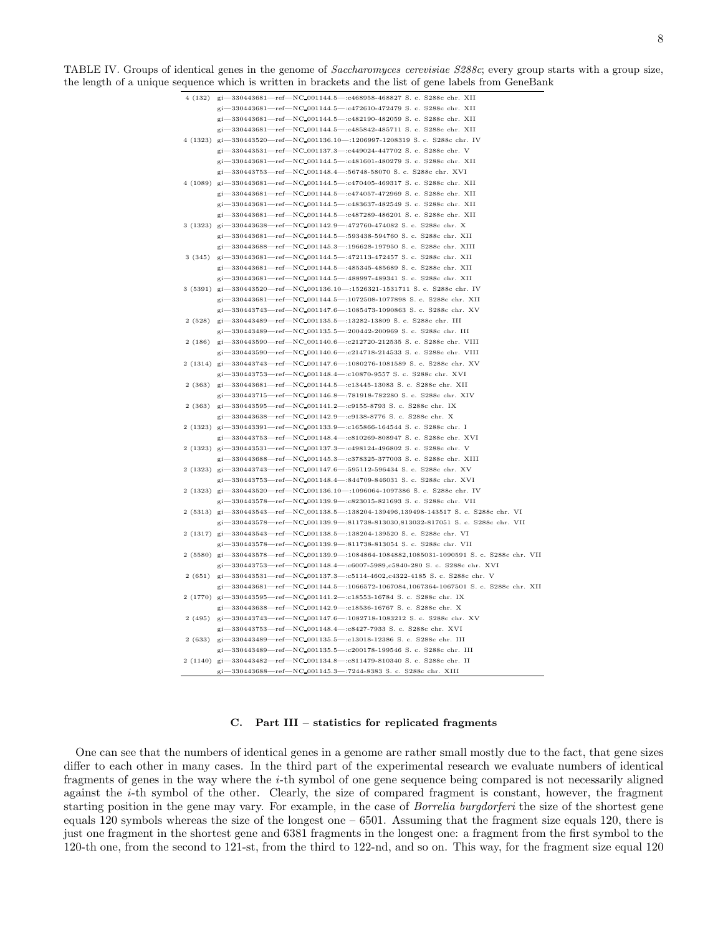TABLE IV. Groups of identical genes in the genome of Saccharomyces cerevisiae S288c; every group starts with a group size, the length of a unique sequence which is written in brackets and the list of gene labels from GeneBank

<span id="page-7-0"></span>

|        | 4 (132) gi-330443681-ref-NC_001144.5-:c468958-468827 S.c. S288c chr. XII                                                                  |
|--------|-------------------------------------------------------------------------------------------------------------------------------------------|
|        | gi-330443681-ref-NC_001144.5-:c472610-472479 S.c. S288c chr. XII                                                                          |
|        | gi-330443681-ref-NC_001144.5-c482190-482059 S.c. S288c chr. XII                                                                           |
|        | gi-330443681-ref-NC_001144.5-c485842-485711 S. c. S288c chr. XII                                                                          |
|        | 4 (1323) gi-330443520-ref-NC_001136.10-:1206997-1208319 S.c. S288c chr. IV                                                                |
|        | gi-330443531-ref-NC_001137.3-c449024-447702 S.c. S288c chr. V                                                                             |
|        | gi-330443681-ref-NC_001144.5-c481601-480279 S.c. S288c chr. XII                                                                           |
|        | gi-330443753-ref-NC_001148.4-:56748-58070 S.c. S288c chr. XVI                                                                             |
|        | 4 (1089) gi-330443681-ref-NC_001144.5-:c470405-469317 S.c. S288c chr. XII                                                                 |
|        | gi-330443681-ref-NC_001144.5-:c474057-472969 S.c. S288c chr. XII                                                                          |
|        | gi-330443681-ref-NC_001144.5-c483637-482549 S.c. S288c chr. XII                                                                           |
|        | gi-330443681-ref-NC_001144.5-c487289-486201 S.c. S288c chr. XII                                                                           |
|        | 3 (1323) gi-330443638-ref-NC_001142.9-:472760-474082 S.c. S288c chr. X                                                                    |
|        | gi-330443681-ref-NC_001144.5-:593438-594760 S.c. S288c chr. XII                                                                           |
|        | gi-330443688-ref-NC-001145.3-:196628-197950 S. c. S288c chr. XIII                                                                         |
|        | gi-330443681-ref-NC-001144.5-:472113-472457 S. c. S288c chr. XII                                                                          |
| 3(345) |                                                                                                                                           |
|        | gi-330443681-ref-NC_001144.5-:485345-485689 S. c. S288c chr. XII<br>gi-330443681-ref-NC_001144.5-:488997-489341 S. c. S288c chr. XII      |
|        |                                                                                                                                           |
|        | 3 (5391) gi-330443520-ref-NC_001136.10-:1526321-1531711 S. c. S288c chr. IV                                                               |
|        | gi-330443681-ref-NC_001144.5-:1072508-1077898 S.c. S288c chr. XII                                                                         |
|        | gi-330443743-ref-NC_001147.6-:1085473-1090863 S.c. S288c chr. XV                                                                          |
|        | 2 (528) gi-330443489-ref-NC_001135.5-:13282-13809 S.c. S288c chr. III                                                                     |
|        | gi-330443489-ref-NC_001135.5-:200442-200969 S. c. S288c chr. III                                                                          |
|        | 2 (186) gi-330443590-ref-NC_001140.6-:c212720-212535 S.c. S288c chr. VIII                                                                 |
|        | gi-330443590-ref-NC-001140.6-:c214718-214533 S.c. S288c chr. VIII                                                                         |
|        | 2 (1314) gi-330443743-ref-NC_001147.6-:1080276-1081589 S.c. S288c chr. XV                                                                 |
|        | gi-330443753-ref-NC_001148.4-:c10870-9557 S. c. S288c chr. XVI                                                                            |
|        | 2 (363) gi-330443681-ref-NC_001144.5-c13445-13083 S.c. S288c chr. XII                                                                     |
|        | gi-330443715-ref-NC_001146.8-:781918-782280 S.c. S288c chr. XIV                                                                           |
|        | 2 (363) gi-330443595-ref-NC_001141.2-:c9155-8793 S.c. S288c chr. IX                                                                       |
|        | gi-330443638-ref-NC-001142.9-:c9138-8776 S. c. S288c chr. X                                                                               |
|        | 2 (1323) gi-330443391-ref-NC-001133.9-:c165866-164544 S.c. S288c chr. I                                                                   |
|        | gi-330443753-ref-NC-001148.4-:c810269-808947 S.c. S288c chr. XVI                                                                          |
|        | 2 (1323) gi-330443531-ref-NC_001137.3-:c498124-496802 S.c. S288c chr. V                                                                   |
|        | gi-330443688-ref-NC_001145.3-:c378325-377003 S.c. S288c chr. XIII                                                                         |
|        | 2 (1323) gi-330443743-ref-NC-001147.6-:595112-596434 S. c. S288c chr. XV                                                                  |
|        | gi-330443753-ref-NC_001148.4-:844709-846031 S. c. S288c chr. XVI                                                                          |
|        | 2 (1323) gi-330443520-ref-NC_001136.10-:1096064-1097386 S.c. S288c chr. IV                                                                |
|        | gi-330443578-ref-NC_001139.9-:c823015-821693 S. c. S288c chr. VII                                                                         |
|        | 2 (5313) gi-330443543-ref-NC_001138.5-:138204-139496,139498-143517 S. c. S288c chr. VI                                                    |
|        | gi-330443578-ref-NC_001139.9-811738-813030,813032-817051 S. c. S288c chr. VII                                                             |
|        | 2 (1317) gi-330443543-ref-NC_001138.5-:138204-139520 S. c. S288c chr. VI                                                                  |
|        | gi-330443578-ref-NC-001139.9-:811738-813054 S.c. S288c chr. VII                                                                           |
|        | 2 (5580) gi-330443578-ref-NC-001139.9-:1084864-1084882,1085031-1090591 S. c. S288c chr. VII                                               |
|        | gi-330443753-ref-NC_001148.4-:c6007-5989,c5840-280 S.c. S288c chr. XVI                                                                    |
|        | 2 (651) gi-330443531-ref-NC-001137.3-c5114-4602,c4322-4185 S.c. S288c chr. V                                                              |
|        | gi-330443681-ref-NC_001144.5-:1066572-1067084,1067364-1067501 S.c. S288c chr. XII                                                         |
|        | 2 (1770) gi-330443595-ref-NC-001141.2-:c18553-16784 S.c. S288c chr. IX                                                                    |
|        | gi-330443638-ref-NC_001142.9-:c18536-16767 S.c. S288c chr. X                                                                              |
|        | 2 (495) gi-330443743-ref-NC_001147.6-:1082718-1083212 S.c. S288c chr. XV                                                                  |
|        | gi-330443753-ref-NC_001148.4-:c8427-7933 S. c. S288c chr. XVI                                                                             |
|        |                                                                                                                                           |
|        | 2 (633) gi-330443489-ref-NC_001135.5-c13018-12386 S.c. S288c chr. III<br>gi-330443489-ref-NC_001135.5-:c200178-199546 S.c. S288c chr. III |
|        |                                                                                                                                           |
|        | 2 (1140) gi-330443482-ref-NC_001134.8-:c811479-810340 S. c. S288c chr. II                                                                 |

### C. Part III – statistics for replicated fragments

One can see that the numbers of identical genes in a genome are rather small mostly due to the fact, that gene sizes differ to each other in many cases. In the third part of the experimental research we evaluate numbers of identical fragments of genes in the way where the i-th symbol of one gene sequence being compared is not necessarily aligned against the i-th symbol of the other. Clearly, the size of compared fragment is constant, however, the fragment starting position in the gene may vary. For example, in the case of Borrelia burgdorferi the size of the shortest gene equals 120 symbols whereas the size of the longest one  $-6501$ . Assuming that the fragment size equals 120, there is just one fragment in the shortest gene and 6381 fragments in the longest one: a fragment from the first symbol to the 120-th one, from the second to 121-st, from the third to 122-nd, and so on. This way, for the fragment size equal 120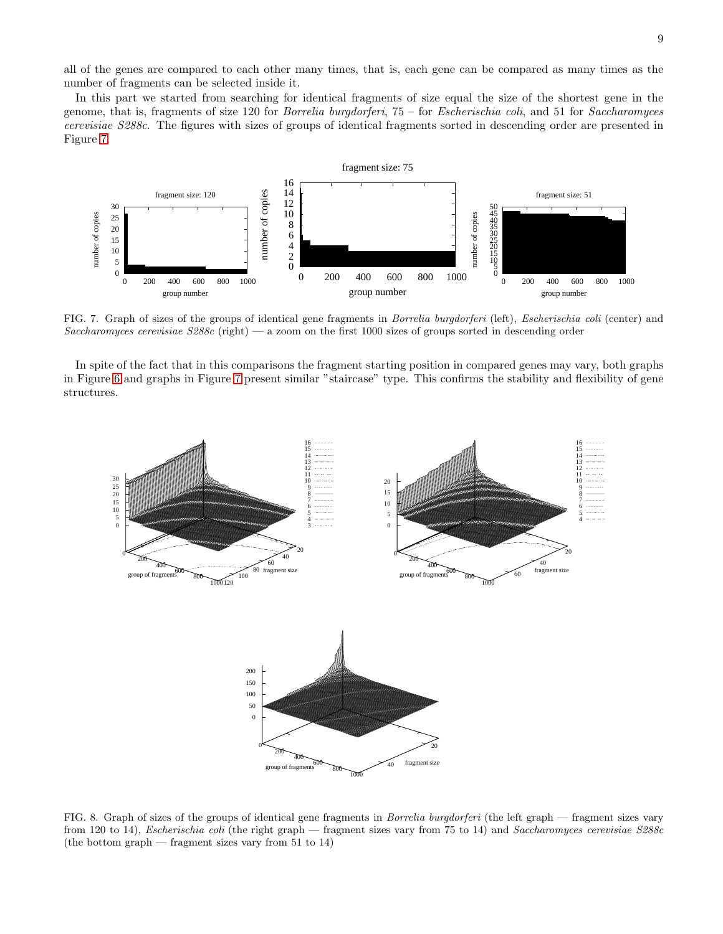all of the genes are compared to each other many times, that is, each gene can be compared as many times as the number of fragments can be selected inside it.

In this part we started from searching for identical fragments of size equal the size of the shortest gene in the genome, that is, fragments of size 120 for *Borrelia burgdorferi*,  $75 -$  for *Escherischia coli*, and 51 for *Saccharomyces* cerevisiae S288c. The figures with sizes of groups of identical fragments sorted in descending order are presented in Figure [7.](#page-8-0)



<span id="page-8-0"></span>FIG. 7. Graph of sizes of the groups of identical gene fragments in Borrelia burgdorferi (left), Escherischia coli (center) and Saccharomyces cerevisiae  $S288c$  (right) — a zoom on the first 1000 sizes of groups sorted in descending order

In spite of the fact that in this comparisons the fragment starting position in compared genes may vary, both graphs in Figure [6](#page-5-1) and graphs in Figure [7](#page-8-0) present similar "staircase" type. This confirms the stability and flexibility of gene structures.



<span id="page-8-1"></span>FIG. 8. Graph of sizes of the groups of identical gene fragments in Borrelia burgdorferi (the left graph — fragment sizes vary from 120 to 14), Escherischia coli (the right graph — fragment sizes vary from 75 to 14) and Saccharomyces cerevisiae S288c (the bottom graph — fragment sizes vary from 51 to 14)